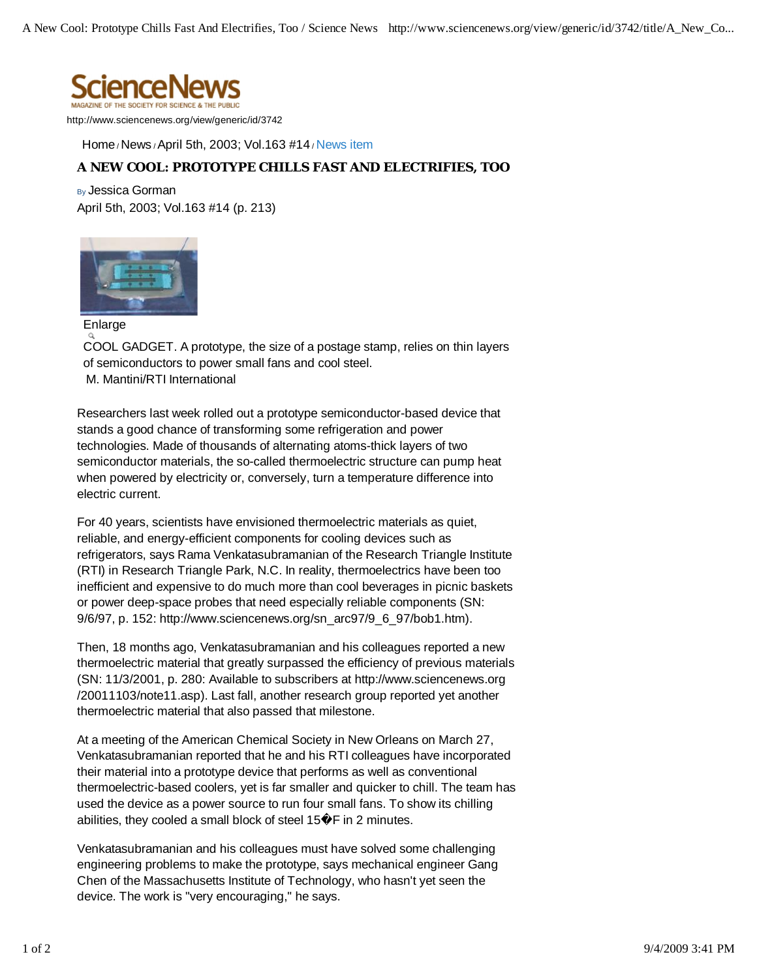

http://www.sciencenews.org/view/generic/id/3742

Home / News / April 5th, 2003; Vol.163 #14 / News item

## **A NEW COOL: PROTOTYPE CHILLS FAST AND ELECTRIFIES, TOO**

By Jessica Gorman April 5th, 2003; Vol.163 #14 (p. 213)



Enlarge

COOL GADGET. A prototype, the size of a postage stamp, relies on thin layers of semiconductors to power small fans and cool steel. M. Mantini/RTI International

Researchers last week rolled out a prototype semiconductor-based device that stands a good chance of transforming some refrigeration and power technologies. Made of thousands of alternating atoms-thick layers of two semiconductor materials, the so-called thermoelectric structure can pump heat when powered by electricity or, conversely, turn a temperature difference into electric current.

For 40 years, scientists have envisioned thermoelectric materials as quiet, reliable, and energy-efficient components for cooling devices such as refrigerators, says Rama Venkatasubramanian of the Research Triangle Institute (RTI) in Research Triangle Park, N.C. In reality, thermoelectrics have been too inefficient and expensive to do much more than cool beverages in picnic baskets or power deep-space probes that need especially reliable components (SN: 9/6/97, p. 152: http://www.sciencenews.org/sn\_arc97/9\_6\_97/bob1.htm).

Then, 18 months ago, Venkatasubramanian and his colleagues reported a new thermoelectric material that greatly surpassed the efficiency of previous materials (SN: 11/3/2001, p. 280: Available to subscribers at http://www.sciencenews.org /20011103/note11.asp). Last fall, another research group reported yet another thermoelectric material that also passed that milestone.

At a meeting of the American Chemical Society in New Orleans on March 27, Venkatasubramanian reported that he and his RTI colleagues have incorporated their material into a prototype device that performs as well as conventional thermoelectric-based coolers, yet is far smaller and quicker to chill. The team has used the device as a power source to run four small fans. To show its chilling abilities, they cooled a small block of steel 15 $\hat{\mathbf{\Phi}}$ F in 2 minutes.

Venkatasubramanian and his colleagues must have solved some challenging engineering problems to make the prototype, says mechanical engineer Gang Chen of the Massachusetts Institute of Technology, who hasn't yet seen the device. The work is "very encouraging," he says.